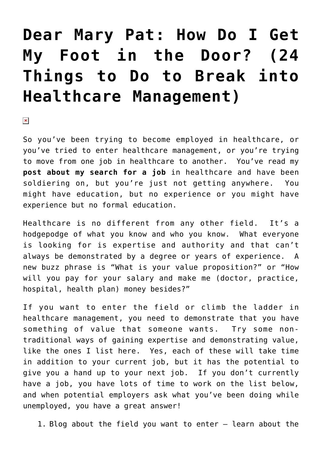## **[Dear Mary Pat: How Do I Get](https://managemypractice.com/dear-mary-pat-how-do-i-get-my-foot-in-the-door-24-things-to-do-to-break-into-healthcare-management/) [My Foot in the Door? \(24](https://managemypractice.com/dear-mary-pat-how-do-i-get-my-foot-in-the-door-24-things-to-do-to-break-into-healthcare-management/) [Things to Do to Break into](https://managemypractice.com/dear-mary-pat-how-do-i-get-my-foot-in-the-door-24-things-to-do-to-break-into-healthcare-management/) [Healthcare Management\)](https://managemypractice.com/dear-mary-pat-how-do-i-get-my-foot-in-the-door-24-things-to-do-to-break-into-healthcare-management/)**

 $\pmb{\times}$ 

So you've been trying to become employed in healthcare, or you've tried to enter healthcare management, or you're trying to move from one job in healthcare to another. You've read my **[post about my search for a job](https://managemypractice.com/16-tips-for-landing-your-next-healthcare-management-job/)** in healthcare and have been soldiering on, but you're just not getting anywhere. You might have education, but no experience or you might have experience but no formal education.

Healthcare is no different from any other field. It's a hodgepodge of what you know and who you know. What everyone is looking for is expertise and authority and that can't always be demonstrated by a degree or years of experience. A new buzz phrase is "What is your value proposition?" or "How will you pay for your salary and make me (doctor, practice, hospital, health plan) money besides?"

If you want to enter the field or climb the ladder in healthcare management, you need to demonstrate that you have something of value that someone wants. Try some nontraditional ways of gaining expertise and demonstrating value, like the ones I list here. Yes, each of these will take time in addition to your current job, but it has the potential to give you a hand up to your next job. If you don't currently have a job, you have lots of time to work on the list below, and when potential employers ask what you've been doing while unemployed, you have a great answer!

1. Blog about the field you want to enter – learn about the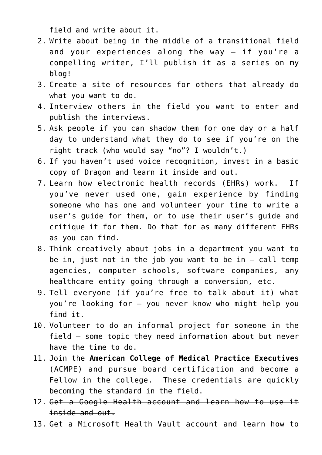field and write about it.

- 2. Write about being in the middle of a transitional field and your experiences along the way – if you're a compelling writer, I'll publish it as a series on my blog!
- 3. Create a site of resources for others that already do what you want to do.
- 4. Interview others in the field you want to enter and publish the interviews.
- 5. Ask people if you can shadow them for one day or a half day to understand what they do to see if you're on the right track (who would say "no"? I wouldn't.)
- 6. If you haven't used voice recognition, invest in a basic copy of Dragon and learn it inside and out.
- 7. Learn how electronic health records (EHRs) work. If you've never used one, gain experience by finding someone who has one and volunteer your time to write a user's guide for them, or to use their user's guide and critique it for them. Do that for as many different EHRs as you can find.
- 8. Think creatively about jobs in a department you want to be in, just not in the job you want to be in  $-$  call temp agencies, computer schools, software companies, any healthcare entity going through a conversion, etc.
- 9. Tell everyone (if you're free to talk about it) what you're looking for – you never know who might help you find it.
- 10. Volunteer to do an informal project for someone in the field – some topic they need information about but never have the time to do.
- 11. Join the **[American College of Medical Practice Executives](http://www.mgma.com/pd/default.aspx?id=26028)** (ACMPE) and pursue board certification and become a Fellow in the college. These credentials are quickly becoming the standard in the field.
- 12. Get a Google Health account and learn how to use it inside and out.
- 13. Get a Microsoft Health Vault account and learn how to